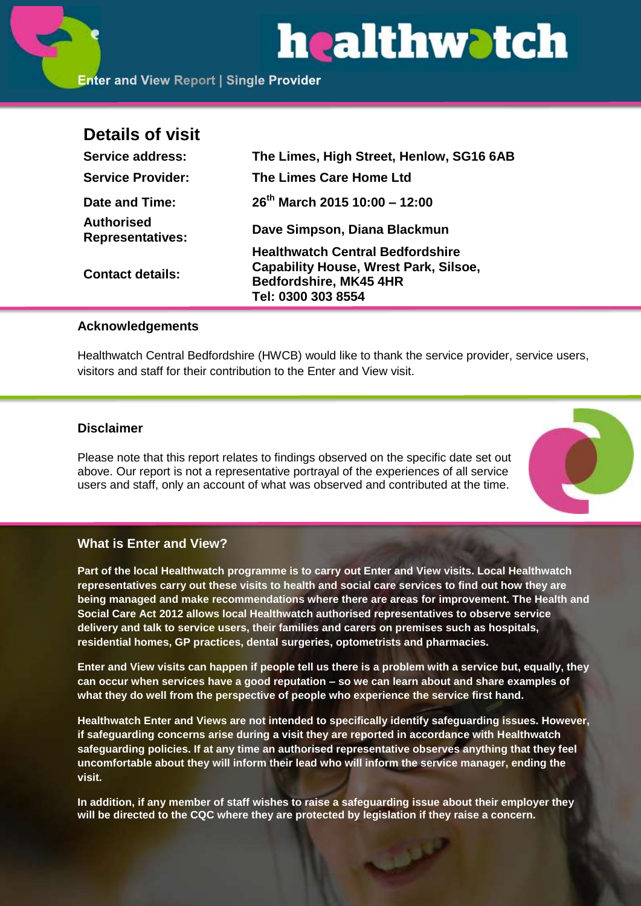# healthwatch

**Enter and View Report | Single Provider** 

### **Details of visit**

| <b>Service address:</b>                      | The Limes, High Street, Henlow, SG16 6AB                                                                                                |
|----------------------------------------------|-----------------------------------------------------------------------------------------------------------------------------------------|
| <b>Service Provider:</b>                     | The Limes Care Home Ltd                                                                                                                 |
| Date and Time:                               | $26^{th}$ March 2015 10:00 - 12:00                                                                                                      |
| <b>Authorised</b><br><b>Representatives:</b> | Dave Simpson, Diana Blackmun                                                                                                            |
| <b>Contact details:</b>                      | <b>Healthwatch Central Bedfordshire</b><br><b>Capability House, Wrest Park, Silsoe,</b><br>Bedfordshire, MK45 4HR<br>Tel: 0300 303 8554 |

#### **Acknowledgements**

Healthwatch Central Bedfordshire (HWCB) would like to thank the service provider, service users, visitors and staff for their contribution to the Enter and View visit.

#### **Disclaimer**

Please note that this report relates to findings observed on the specific date set out above. Our report is not a representative portrayal of the experiences of all service users and staff, only an account of what was observed and contributed at the time.



#### **What is Enter and View?**

**Part of the local Healthwatch programme is to carry out Enter and View visits. Local Healthwatch representatives carry out these visits to health and social care services to find out how they are being managed and make recommendations where there are areas for improvement. The Health and Social Care Act 2012 allows local Healthwatch authorised representatives to observe service delivery and talk to service users, their families and carers on premises such as hospitals, residential homes, GP practices, dental surgeries, optometrists and pharmacies.** 

**Enter and View visits can happen if people tell us there is a problem with a service but, equally, they can occur when services have a good reputation – so we can learn about and share examples of what they do well from the perspective of people who experience the service first hand.**

**Healthwatch Enter and Views are not intended to specifically identify safeguarding issues. However, if safeguarding concerns arise during a visit they are reported in accordance with Healthwatch safeguarding policies. If at any time an authorised representative observes anything that they feel uncomfortable about they will inform their lead who will inform the service manager, ending the visit.** 

**In addition, if any member of staff wishes to raise a safeguarding issue about their employer they will be directed to the CQC where they are protected by legislation if they raise a concern.**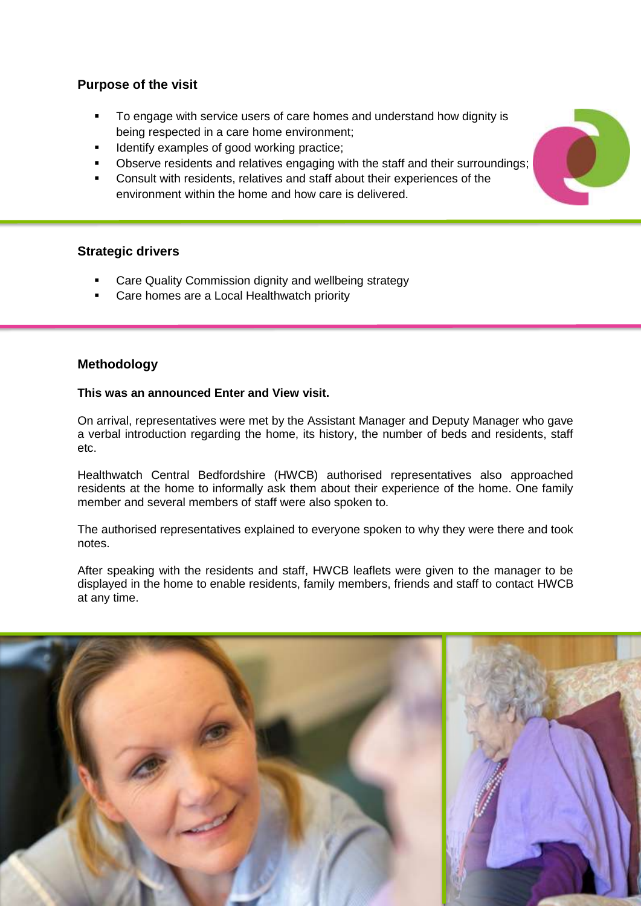#### **Purpose of the visit**

- To engage with service users of care homes and understand how dignity is being respected in a care home environment;
- Identify examples of good working practice;
- Observe residents and relatives engaging with the staff and their surroundings;
- Consult with residents, relatives and staff about their experiences of the environment within the home and how care is delivered.

#### **Strategic drivers**

- Care Quality Commission dignity and wellbeing strategy
- Care homes are a Local Healthwatch priority

#### **Methodology**

#### **This was an announced Enter and View visit.**

On arrival, representatives were met by the Assistant Manager and Deputy Manager who gave a verbal introduction regarding the home, its history, the number of beds and residents, staff etc.

Healthwatch Central Bedfordshire (HWCB) authorised representatives also approached residents at the home to informally ask them about their experience of the home. One family member and several members of staff were also spoken to.

The authorised representatives explained to everyone spoken to why they were there and took notes.

After speaking with the residents and staff, HWCB leaflets were given to the manager to be displayed in the home to enable residents, family members, friends and staff to contact HWCB at any time.



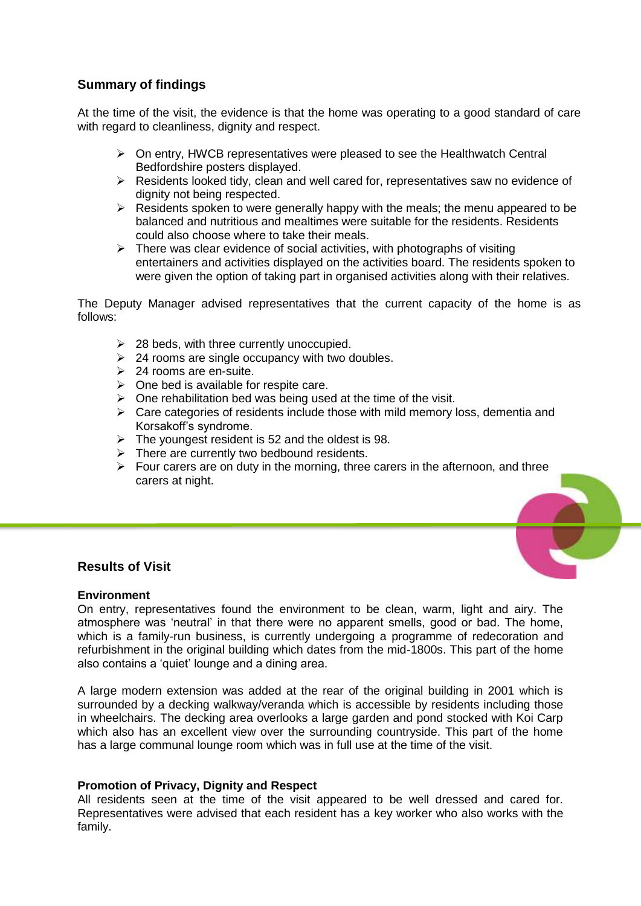#### **Summary of findings**

At the time of the visit, the evidence is that the home was operating to a good standard of care with regard to cleanliness, dignity and respect.

- $\triangleright$  On entry, HWCB representatives were pleased to see the Healthwatch Central Bedfordshire posters displayed.
- $\triangleright$  Residents looked tidy, clean and well cared for, representatives saw no evidence of dignity not being respected.
- $\triangleright$  Residents spoken to were generally happy with the meals; the menu appeared to be balanced and nutritious and mealtimes were suitable for the residents. Residents could also choose where to take their meals.
- $\triangleright$  There was clear evidence of social activities, with photographs of visiting entertainers and activities displayed on the activities board. The residents spoken to were given the option of taking part in organised activities along with their relatives.

The Deputy Manager advised representatives that the current capacity of the home is as follows:

- $\geq$  28 beds, with three currently unoccupied.
- $\geq$  24 rooms are single occupancy with two doubles.
- $\geq$  24 rooms are en-suite.
- $\triangleright$  One bed is available for respite care.
- $\triangleright$  One rehabilitation bed was being used at the time of the visit.
- $\triangleright$  Care categories of residents include those with mild memory loss, dementia and Korsakoff's syndrome.
- $\triangleright$  The youngest resident is 52 and the oldest is 98.
- $\triangleright$  There are currently two bedbound residents.
- $\triangleright$  Four carers are on duty in the morning, three carers in the afternoon, and three carers at night.

#### **Results of Visit**

#### **Environment**

On entry, representatives found the environment to be clean, warm, light and airy. The atmosphere was 'neutral' in that there were no apparent smells, good or bad. The home, which is a family-run business, is currently undergoing a programme of redecoration and refurbishment in the original building which dates from the mid-1800s. This part of the home also contains a 'quiet' lounge and a dining area.

A large modern extension was added at the rear of the original building in 2001 which is surrounded by a decking walkway/veranda which is accessible by residents including those in wheelchairs. The decking area overlooks a large garden and pond stocked with Koi Carp which also has an excellent view over the surrounding countryside. This part of the home has a large communal lounge room which was in full use at the time of the visit.

#### **Promotion of Privacy, Dignity and Respect**

All residents seen at the time of the visit appeared to be well dressed and cared for. Representatives were advised that each resident has a key worker who also works with the family.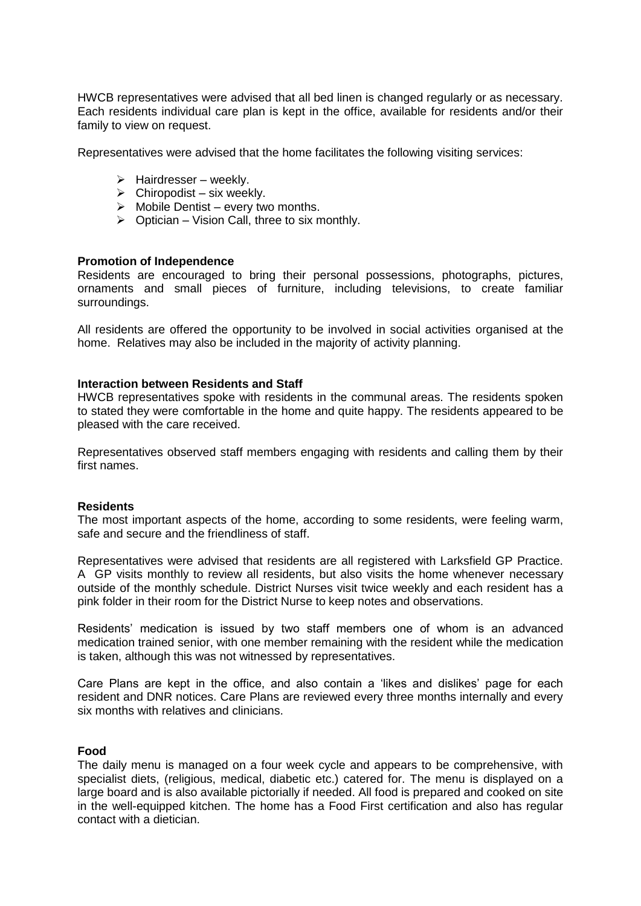HWCB representatives were advised that all bed linen is changed regularly or as necessary. Each residents individual care plan is kept in the office, available for residents and/or their family to view on request.

Representatives were advised that the home facilitates the following visiting services:

- $\triangleright$  Hairdresser weekly.
- $\triangleright$  Chiropodist six weekly.
- $\triangleright$  Mobile Dentist every two months.
- $\triangleright$  Optician Vision Call, three to six monthly.

#### **Promotion of Independence**

Residents are encouraged to bring their personal possessions, photographs, pictures, ornaments and small pieces of furniture, including televisions, to create familiar surroundings.

All residents are offered the opportunity to be involved in social activities organised at the home. Relatives may also be included in the majority of activity planning.

#### **Interaction between Residents and Staff**

HWCB representatives spoke with residents in the communal areas. The residents spoken to stated they were comfortable in the home and quite happy. The residents appeared to be pleased with the care received.

Representatives observed staff members engaging with residents and calling them by their first names.

#### **Residents**

The most important aspects of the home, according to some residents, were feeling warm, safe and secure and the friendliness of staff.

Representatives were advised that residents are all registered with Larksfield GP Practice. A GP visits monthly to review all residents, but also visits the home whenever necessary outside of the monthly schedule. District Nurses visit twice weekly and each resident has a pink folder in their room for the District Nurse to keep notes and observations.

Residents' medication is issued by two staff members one of whom is an advanced medication trained senior, with one member remaining with the resident while the medication is taken, although this was not witnessed by representatives.

Care Plans are kept in the office, and also contain a 'likes and dislikes' page for each resident and DNR notices. Care Plans are reviewed every three months internally and every six months with relatives and clinicians.

#### **Food**

The daily menu is managed on a four week cycle and appears to be comprehensive, with specialist diets, (religious, medical, diabetic etc.) catered for. The menu is displayed on a large board and is also available pictorially if needed. All food is prepared and cooked on site in the well-equipped kitchen. The home has a Food First certification and also has regular contact with a dietician.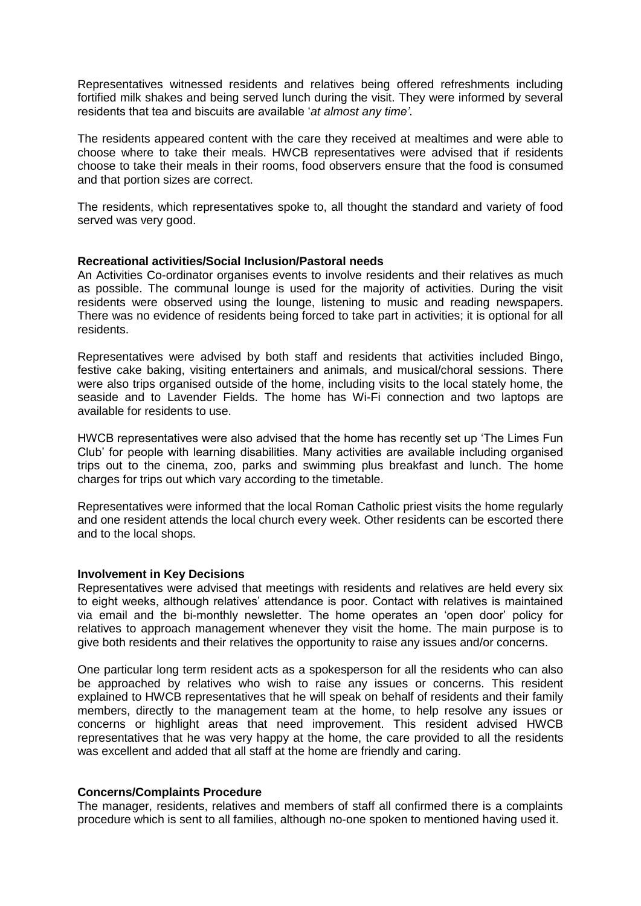Representatives witnessed residents and relatives being offered refreshments including fortified milk shakes and being served lunch during the visit. They were informed by several residents that tea and biscuits are available '*at almost any time'*.

The residents appeared content with the care they received at mealtimes and were able to choose where to take their meals. HWCB representatives were advised that if residents choose to take their meals in their rooms, food observers ensure that the food is consumed and that portion sizes are correct.

The residents, which representatives spoke to, all thought the standard and variety of food served was very good.

#### **Recreational activities/Social Inclusion/Pastoral needs**

An Activities Co-ordinator organises events to involve residents and their relatives as much as possible. The communal lounge is used for the majority of activities. During the visit residents were observed using the lounge, listening to music and reading newspapers. There was no evidence of residents being forced to take part in activities; it is optional for all residents.

Representatives were advised by both staff and residents that activities included Bingo, festive cake baking, visiting entertainers and animals, and musical/choral sessions. There were also trips organised outside of the home, including visits to the local stately home, the seaside and to Lavender Fields. The home has Wi-Fi connection and two laptops are available for residents to use.

HWCB representatives were also advised that the home has recently set up 'The Limes Fun Club' for people with learning disabilities. Many activities are available including organised trips out to the cinema, zoo, parks and swimming plus breakfast and lunch. The home charges for trips out which vary according to the timetable.

Representatives were informed that the local Roman Catholic priest visits the home regularly and one resident attends the local church every week. Other residents can be escorted there and to the local shops.

#### **Involvement in Key Decisions**

Representatives were advised that meetings with residents and relatives are held every six to eight weeks, although relatives' attendance is poor. Contact with relatives is maintained via email and the bi-monthly newsletter. The home operates an 'open door' policy for relatives to approach management whenever they visit the home. The main purpose is to give both residents and their relatives the opportunity to raise any issues and/or concerns.

One particular long term resident acts as a spokesperson for all the residents who can also be approached by relatives who wish to raise any issues or concerns. This resident explained to HWCB representatives that he will speak on behalf of residents and their family members, directly to the management team at the home, to help resolve any issues or concerns or highlight areas that need improvement. This resident advised HWCB representatives that he was very happy at the home, the care provided to all the residents was excellent and added that all staff at the home are friendly and caring.

#### **Concerns/Complaints Procedure**

The manager, residents, relatives and members of staff all confirmed there is a complaints procedure which is sent to all families, although no-one spoken to mentioned having used it.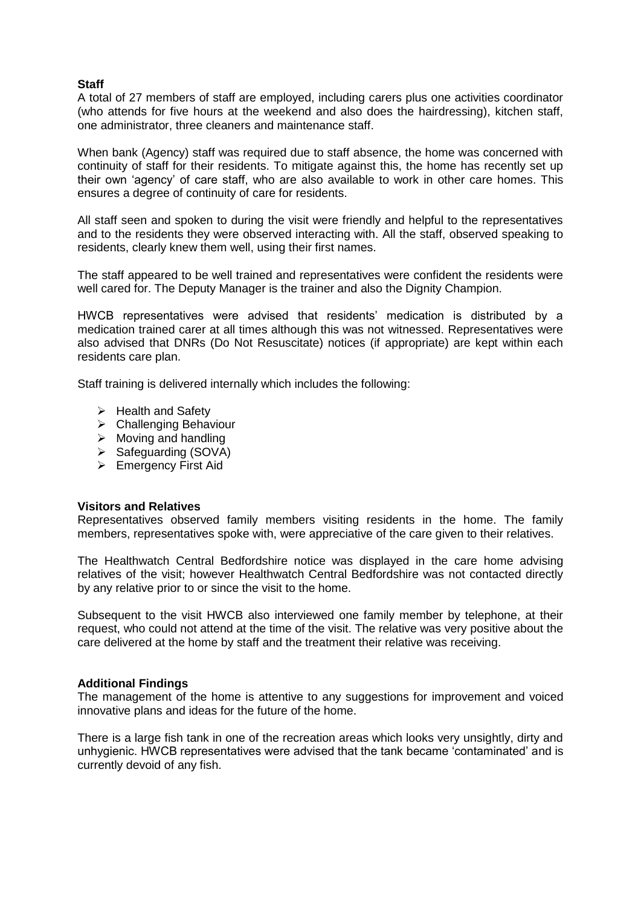#### **Staff**

A total of 27 members of staff are employed, including carers plus one activities coordinator (who attends for five hours at the weekend and also does the hairdressing), kitchen staff, one administrator, three cleaners and maintenance staff.

When bank (Agency) staff was required due to staff absence, the home was concerned with continuity of staff for their residents. To mitigate against this, the home has recently set up their own 'agency' of care staff, who are also available to work in other care homes. This ensures a degree of continuity of care for residents.

All staff seen and spoken to during the visit were friendly and helpful to the representatives and to the residents they were observed interacting with. All the staff, observed speaking to residents, clearly knew them well, using their first names.

The staff appeared to be well trained and representatives were confident the residents were well cared for. The Deputy Manager is the trainer and also the Dignity Champion.

HWCB representatives were advised that residents' medication is distributed by a medication trained carer at all times although this was not witnessed. Representatives were also advised that DNRs (Do Not Resuscitate) notices (if appropriate) are kept within each residents care plan.

Staff training is delivered internally which includes the following:

- $\triangleright$  Health and Safety
- **▶ Challenging Behaviour**
- $\triangleright$  Moving and handling
- $\triangleright$  Safeguarding (SOVA)
- **Emergency First Aid**

#### **Visitors and Relatives**

Representatives observed family members visiting residents in the home. The family members, representatives spoke with, were appreciative of the care given to their relatives.

The Healthwatch Central Bedfordshire notice was displayed in the care home advising relatives of the visit; however Healthwatch Central Bedfordshire was not contacted directly by any relative prior to or since the visit to the home.

Subsequent to the visit HWCB also interviewed one family member by telephone, at their request, who could not attend at the time of the visit. The relative was very positive about the care delivered at the home by staff and the treatment their relative was receiving.

#### **Additional Findings**

The management of the home is attentive to any suggestions for improvement and voiced innovative plans and ideas for the future of the home.

There is a large fish tank in one of the recreation areas which looks very unsightly, dirty and unhygienic. HWCB representatives were advised that the tank became 'contaminated' and is currently devoid of any fish.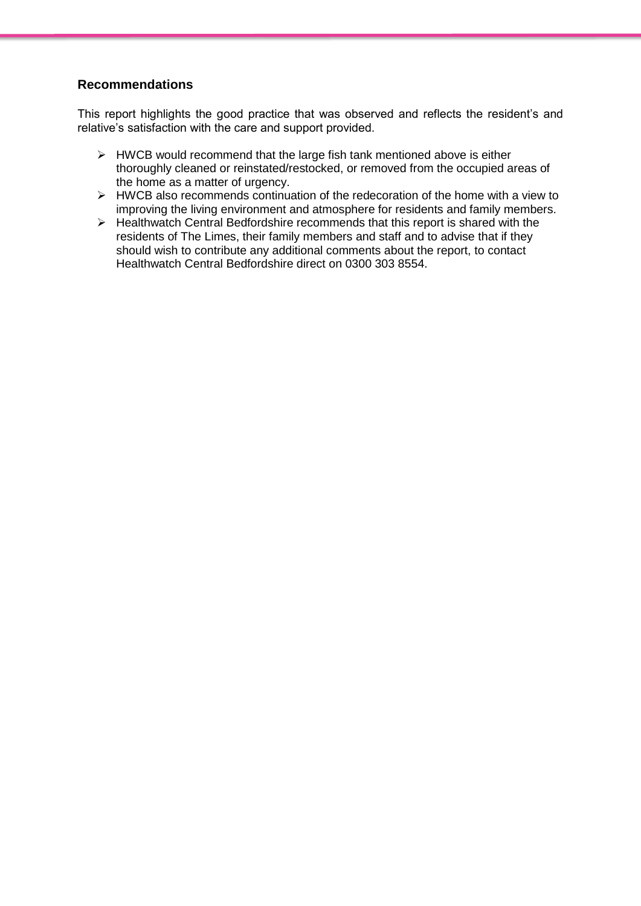#### **Recommendations**

This report highlights the good practice that was observed and reflects the resident's and relative's satisfaction with the care and support provided.

- $\triangleright$  HWCB would recommend that the large fish tank mentioned above is either thoroughly cleaned or reinstated/restocked, or removed from the occupied areas of the home as a matter of urgency.
- $\triangleright$  HWCB also recommends continuation of the redecoration of the home with a view to improving the living environment and atmosphere for residents and family members.
- $\triangleright$  Healthwatch Central Bedfordshire recommends that this report is shared with the residents of The Limes, their family members and staff and to advise that if they should wish to contribute any additional comments about the report, to contact Healthwatch Central Bedfordshire direct on 0300 303 8554.